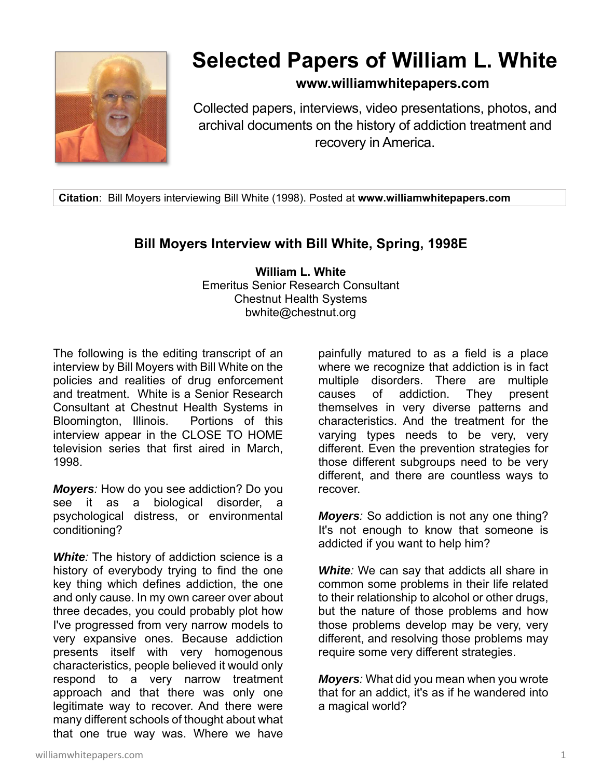

# **Selected Papers of William L. White**

## **www.williamwhitepapers.com**

Collected papers, interviews, video presentations, photos, and archival documents on the history of addiction treatment and recovery in America.

**Citation**: Bill Moyers interviewing Bill White (1998). Posted at **www.williamwhitepapers.com** 

## **Bill Moyers Interview with Bill White, Spring, 1998E**

**William L. White**  Emeritus Senior Research Consultant Chestnut Health Systems bwhite@chestnut.org

The following is the editing transcript of an interview by Bill Moyers with Bill White on the policies and realities of drug enforcement and treatment. White is a Senior Research Consultant at Chestnut Health Systems in Bloomington, Illinois. Portions of this interview appear in the CLOSE TO HOME television series that first aired in March, 1998.

*Moyers:* How do you see addiction? Do you see it as a biological disorder, a psychological distress, or environmental conditioning?

*White:* The history of addiction science is a history of everybody trying to find the one key thing which defines addiction, the one and only cause. In my own career over about three decades, you could probably plot how I've progressed from very narrow models to very expansive ones. Because addiction presents itself with very homogenous characteristics, people believed it would only respond to a very narrow treatment approach and that there was only one legitimate way to recover. And there were many different schools of thought about what that one true way was. Where we have

painfully matured to as a field is a place where we recognize that addiction is in fact multiple disorders. There are multiple causes of addiction. They present themselves in very diverse patterns and characteristics. And the treatment for the varying types needs to be very, very different. Even the prevention strategies for those different subgroups need to be very different, and there are countless ways to recover.

*Moyers:* So addiction is not any one thing? It's not enough to know that someone is addicted if you want to help him?

*White:* We can say that addicts all share in common some problems in their life related to their relationship to alcohol or other drugs, but the nature of those problems and how those problems develop may be very, very different, and resolving those problems may require some very different strategies.

*Moyers:* What did you mean when you wrote that for an addict, it's as if he wandered into a magical world?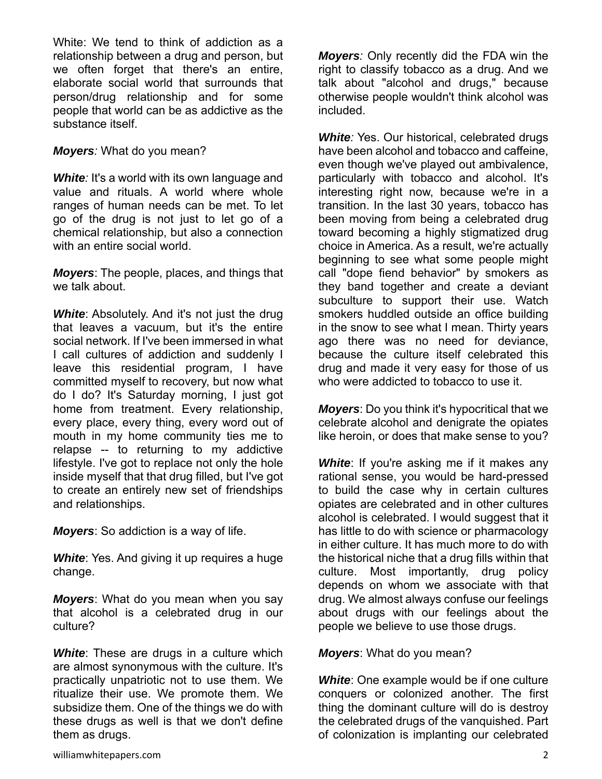White: We tend to think of addiction as a relationship between a drug and person, but we often forget that there's an entire, elaborate social world that surrounds that person/drug relationship and for some people that world can be as addictive as the substance itself.

*Moyers:* What do you mean?

**White**: It's a world with its own language and value and rituals. A world where whole ranges of human needs can be met. To let go of the drug is not just to let go of a chemical relationship, but also a connection with an entire social world.

*Moyers*: The people, places, and things that we talk about.

**White:** Absolutely. And it's not just the drug that leaves a vacuum, but it's the entire social network. If I've been immersed in what I call cultures of addiction and suddenly I leave this residential program, I have committed myself to recovery, but now what do I do? It's Saturday morning, I just got home from treatment. Every relationship, every place, every thing, every word out of mouth in my home community ties me to relapse -- to returning to my addictive lifestyle. I've got to replace not only the hole inside myself that that drug filled, but I've got to create an entirely new set of friendships and relationships.

*Moyers*: So addiction is a way of life.

*White*: Yes. And giving it up requires a huge change.

*Moyers*: What do you mean when you say that alcohol is a celebrated drug in our culture?

**White:** These are drugs in a culture which are almost synonymous with the culture. It's practically unpatriotic not to use them. We ritualize their use. We promote them. We subsidize them. One of the things we do with these drugs as well is that we don't define them as drugs.

*Moyers:* Only recently did the FDA win the right to classify tobacco as a drug. And we talk about "alcohol and drugs," because otherwise people wouldn't think alcohol was included.

*White:* Yes. Our historical, celebrated drugs have been alcohol and tobacco and caffeine, even though we've played out ambivalence, particularly with tobacco and alcohol. It's interesting right now, because we're in a transition. In the last 30 years, tobacco has been moving from being a celebrated drug toward becoming a highly stigmatized drug choice in America. As a result, we're actually beginning to see what some people might call "dope fiend behavior" by smokers as they band together and create a deviant subculture to support their use. Watch smokers huddled outside an office building in the snow to see what I mean. Thirty years ago there was no need for deviance, because the culture itself celebrated this drug and made it very easy for those of us who were addicted to tobacco to use it.

*Moyers*: Do you think it's hypocritical that we celebrate alcohol and denigrate the opiates like heroin, or does that make sense to you?

**White:** If you're asking me if it makes any rational sense, you would be hard-pressed to build the case why in certain cultures opiates are celebrated and in other cultures alcohol is celebrated. I would suggest that it has little to do with science or pharmacology in either culture. It has much more to do with the historical niche that a drug fills within that culture. Most importantly, drug policy depends on whom we associate with that drug. We almost always confuse our feelings about drugs with our feelings about the people we believe to use those drugs.

*Moyers*: What do you mean?

*White*: One example would be if one culture conquers or colonized another. The first thing the dominant culture will do is destroy the celebrated drugs of the vanquished. Part of colonization is implanting our celebrated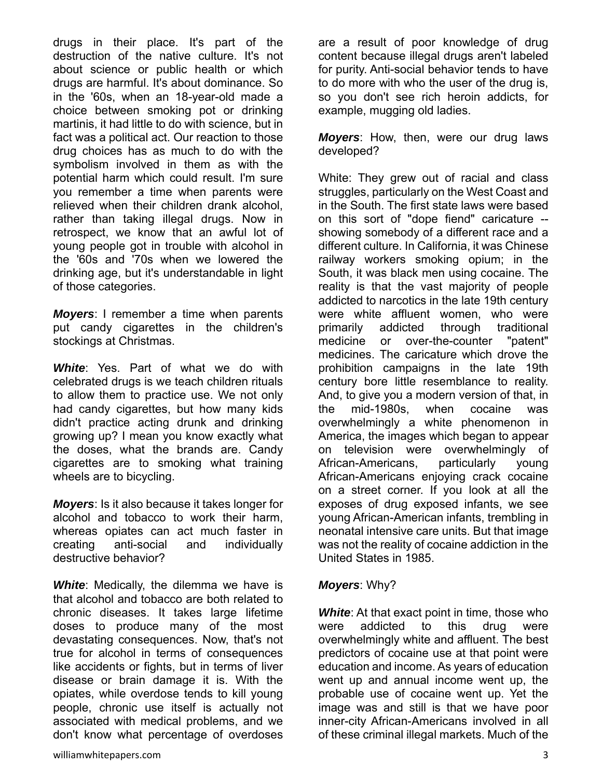drugs in their place. It's part of the destruction of the native culture. It's not about science or public health or which drugs are harmful. It's about dominance. So in the '60s, when an 18-year-old made a choice between smoking pot or drinking martinis, it had little to do with science, but in fact was a political act. Our reaction to those drug choices has as much to do with the symbolism involved in them as with the potential harm which could result. I'm sure you remember a time when parents were relieved when their children drank alcohol, rather than taking illegal drugs. Now in retrospect, we know that an awful lot of young people got in trouble with alcohol in the '60s and '70s when we lowered the drinking age, but it's understandable in light of those categories.

*Moyers*: I remember a time when parents put candy cigarettes in the children's stockings at Christmas.

*White*: Yes. Part of what we do with celebrated drugs is we teach children rituals to allow them to practice use. We not only had candy cigarettes, but how many kids didn't practice acting drunk and drinking growing up? I mean you know exactly what the doses, what the brands are. Candy cigarettes are to smoking what training wheels are to bicycling.

*Moyers*: Is it also because it takes longer for alcohol and tobacco to work their harm, whereas opiates can act much faster in creating anti-social and individually destructive behavior?

*White*: Medically, the dilemma we have is that alcohol and tobacco are both related to chronic diseases. It takes large lifetime doses to produce many of the most devastating consequences. Now, that's not true for alcohol in terms of consequences like accidents or fights, but in terms of liver disease or brain damage it is. With the opiates, while overdose tends to kill young people, chronic use itself is actually not associated with medical problems, and we don't know what percentage of overdoses

are a result of poor knowledge of drug content because illegal drugs aren't labeled for purity. Anti-social behavior tends to have to do more with who the user of the drug is, so you don't see rich heroin addicts, for example, mugging old ladies.

*Moyers*: How, then, were our drug laws developed?

White: They grew out of racial and class struggles, particularly on the West Coast and in the South. The first state laws were based on this sort of "dope fiend" caricature - showing somebody of a different race and a different culture. In California, it was Chinese railway workers smoking opium; in the South, it was black men using cocaine. The reality is that the vast majority of people addicted to narcotics in the late 19th century were white affluent women, who were primarily addicted through traditional medicine or over-the-counter "patent" medicines. The caricature which drove the prohibition campaigns in the late 19th century bore little resemblance to reality. And, to give you a modern version of that, in the mid-1980s, when cocaine was overwhelmingly a white phenomenon in America, the images which began to appear on television were overwhelmingly of African-Americans, particularly young African-Americans enjoying crack cocaine on a street corner. If you look at all the exposes of drug exposed infants, we see young African-American infants, trembling in neonatal intensive care units. But that image was not the reality of cocaine addiction in the United States in 1985.

### *Moyers*: Why?

*White*: At that exact point in time, those who were addicted to this drug were overwhelmingly white and affluent. The best predictors of cocaine use at that point were education and income. As years of education went up and annual income went up, the probable use of cocaine went up. Yet the image was and still is that we have poor inner-city African-Americans involved in all of these criminal illegal markets. Much of the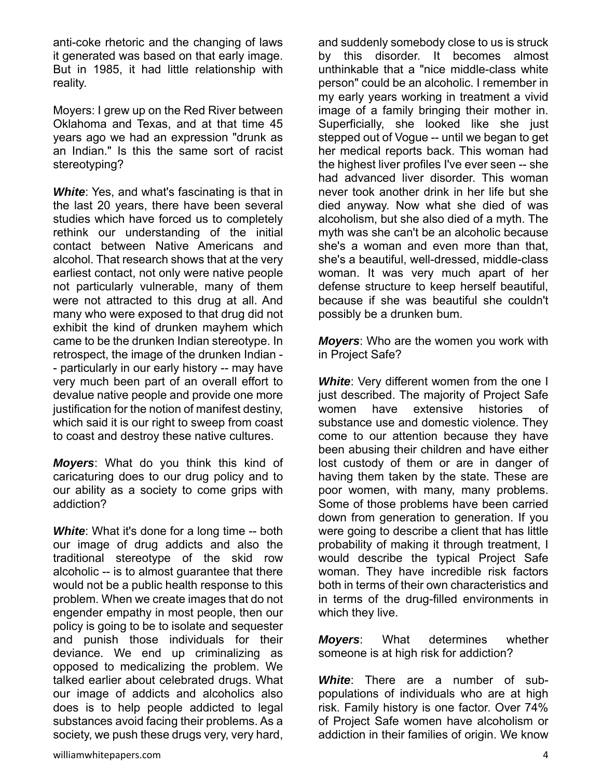anti-coke rhetoric and the changing of laws it generated was based on that early image. But in 1985, it had little relationship with reality.

Moyers: I grew up on the Red River between Oklahoma and Texas, and at that time 45 years ago we had an expression "drunk as an Indian." Is this the same sort of racist stereotyping?

*White*: Yes, and what's fascinating is that in the last 20 years, there have been several studies which have forced us to completely rethink our understanding of the initial contact between Native Americans and alcohol. That research shows that at the very earliest contact, not only were native people not particularly vulnerable, many of them were not attracted to this drug at all. And many who were exposed to that drug did not exhibit the kind of drunken mayhem which came to be the drunken Indian stereotype. In retrospect, the image of the drunken Indian - - particularly in our early history -- may have very much been part of an overall effort to devalue native people and provide one more justification for the notion of manifest destiny, which said it is our right to sweep from coast to coast and destroy these native cultures.

*Moyers*: What do you think this kind of caricaturing does to our drug policy and to our ability as a society to come grips with addiction?

*White*: What it's done for a long time -- both our image of drug addicts and also the traditional stereotype of the skid row alcoholic -- is to almost guarantee that there would not be a public health response to this problem. When we create images that do not engender empathy in most people, then our policy is going to be to isolate and sequester and punish those individuals for their deviance. We end up criminalizing as opposed to medicalizing the problem. We talked earlier about celebrated drugs. What our image of addicts and alcoholics also does is to help people addicted to legal substances avoid facing their problems. As a society, we push these drugs very, very hard,

and suddenly somebody close to us is struck by this disorder. It becomes almost unthinkable that a "nice middle-class white person" could be an alcoholic. I remember in my early years working in treatment a vivid image of a family bringing their mother in. Superficially, she looked like she just stepped out of Vogue -- until we began to get her medical reports back. This woman had the highest liver profiles I've ever seen -- she had advanced liver disorder. This woman never took another drink in her life but she died anyway. Now what she died of was alcoholism, but she also died of a myth. The myth was she can't be an alcoholic because she's a woman and even more than that, she's a beautiful, well-dressed, middle-class woman. It was very much apart of her defense structure to keep herself beautiful, because if she was beautiful she couldn't possibly be a drunken bum.

*Moyers*: Who are the women you work with in Project Safe?

**White:** Very different women from the one I just described. The majority of Project Safe women have extensive histories of substance use and domestic violence. They come to our attention because they have been abusing their children and have either lost custody of them or are in danger of having them taken by the state. These are poor women, with many, many problems. Some of those problems have been carried down from generation to generation. If you were going to describe a client that has little probability of making it through treatment, I would describe the typical Project Safe woman. They have incredible risk factors both in terms of their own characteristics and in terms of the drug-filled environments in which they live.

*Moyers*: What determines whether someone is at high risk for addiction?

*White*: There are a number of subpopulations of individuals who are at high risk. Family history is one factor. Over 74% of Project Safe women have alcoholism or addiction in their families of origin. We know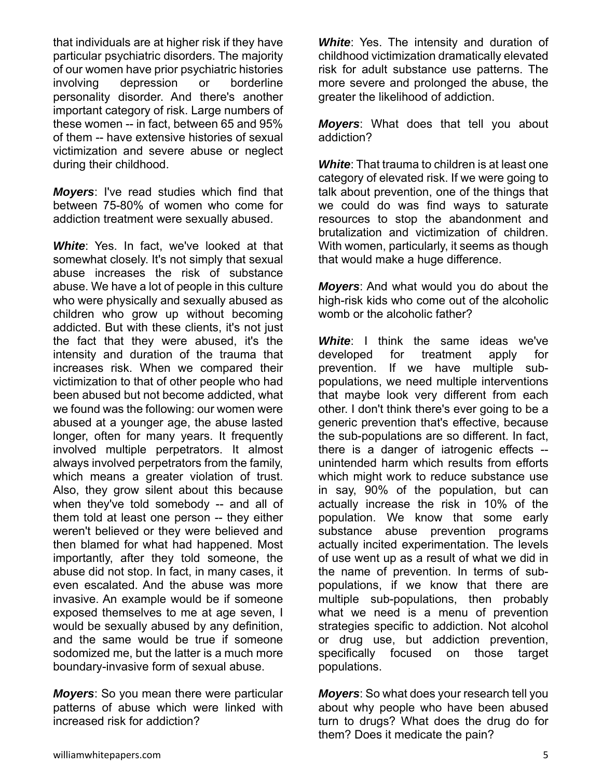that individuals are at higher risk if they have particular psychiatric disorders. The majority of our women have prior psychiatric histories involving depression or borderline personality disorder. And there's another important category of risk. Large numbers of these women -- in fact, between 65 and 95% of them -- have extensive histories of sexual victimization and severe abuse or neglect during their childhood.

*Moyers*: I've read studies which find that between 75-80% of women who come for addiction treatment were sexually abused.

*White*: Yes. In fact, we've looked at that somewhat closely. It's not simply that sexual abuse increases the risk of substance abuse. We have a lot of people in this culture who were physically and sexually abused as children who grow up without becoming addicted. But with these clients, it's not just the fact that they were abused, it's the intensity and duration of the trauma that increases risk. When we compared their victimization to that of other people who had been abused but not become addicted, what we found was the following: our women were abused at a younger age, the abuse lasted longer, often for many years. It frequently involved multiple perpetrators. It almost always involved perpetrators from the family, which means a greater violation of trust. Also, they grow silent about this because when they've told somebody -- and all of them told at least one person -- they either weren't believed or they were believed and then blamed for what had happened. Most importantly, after they told someone, the abuse did not stop. In fact, in many cases, it even escalated. And the abuse was more invasive. An example would be if someone exposed themselves to me at age seven, I would be sexually abused by any definition, and the same would be true if someone sodomized me, but the latter is a much more boundary-invasive form of sexual abuse.

*Moyers*: So you mean there were particular patterns of abuse which were linked with increased risk for addiction?

*White*: Yes. The intensity and duration of childhood victimization dramatically elevated risk for adult substance use patterns. The more severe and prolonged the abuse, the greater the likelihood of addiction.

*Moyers*: What does that tell you about addiction?

*White*: That trauma to children is at least one category of elevated risk. If we were going to talk about prevention, one of the things that we could do was find ways to saturate resources to stop the abandonment and brutalization and victimization of children. With women, particularly, it seems as though that would make a huge difference.

*Moyers*: And what would you do about the high-risk kids who come out of the alcoholic womb or the alcoholic father?

*White*: I think the same ideas we've developed for treatment apply for prevention. If we have multiple subpopulations, we need multiple interventions that maybe look very different from each other. I don't think there's ever going to be a generic prevention that's effective, because the sub-populations are so different. In fact, there is a danger of iatrogenic effects - unintended harm which results from efforts which might work to reduce substance use in say, 90% of the population, but can actually increase the risk in 10% of the population. We know that some early substance abuse prevention programs actually incited experimentation. The levels of use went up as a result of what we did in the name of prevention. In terms of subpopulations, if we know that there are multiple sub-populations, then probably what we need is a menu of prevention strategies specific to addiction. Not alcohol or drug use, but addiction prevention, specifically focused on those target populations.

*Moyers*: So what does your research tell you about why people who have been abused turn to drugs? What does the drug do for them? Does it medicate the pain?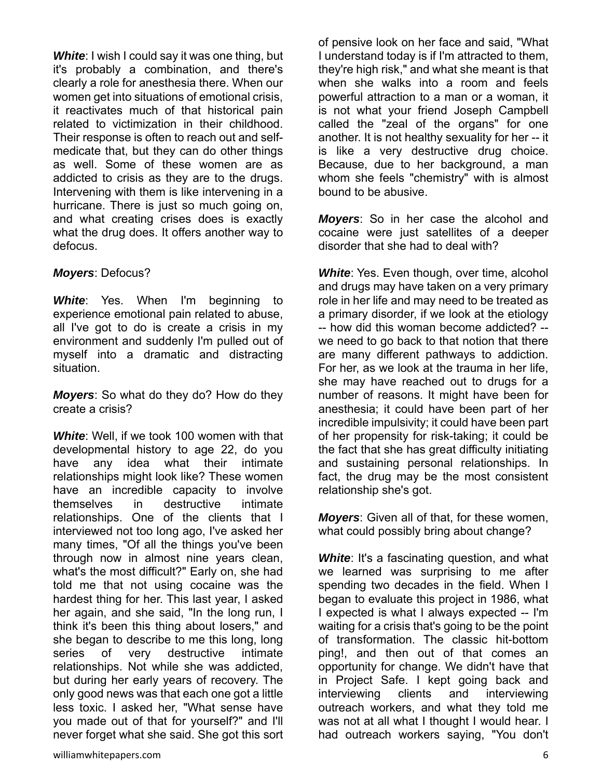*White*: I wish I could say it was one thing, but it's probably a combination, and there's clearly a role for anesthesia there. When our women get into situations of emotional crisis, it reactivates much of that historical pain related to victimization in their childhood. Their response is often to reach out and selfmedicate that, but they can do other things as well. Some of these women are as addicted to crisis as they are to the drugs. Intervening with them is like intervening in a hurricane. There is just so much going on, and what creating crises does is exactly what the drug does. It offers another way to defocus.

### *Moyers*: Defocus?

**White:** Yes. When I'm beginning to experience emotional pain related to abuse, all I've got to do is create a crisis in my environment and suddenly I'm pulled out of myself into a dramatic and distracting situation.

*Moyers*: So what do they do? How do they create a crisis?

*White*: Well, if we took 100 women with that developmental history to age 22, do you have any idea what their intimate relationships might look like? These women have an incredible capacity to involve themselves in destructive intimate relationships. One of the clients that I interviewed not too long ago, I've asked her many times, "Of all the things you've been through now in almost nine years clean, what's the most difficult?" Early on, she had told me that not using cocaine was the hardest thing for her. This last year, I asked her again, and she said, "In the long run, I think it's been this thing about losers," and she began to describe to me this long, long series of very destructive intimate relationships. Not while she was addicted, but during her early years of recovery. The only good news was that each one got a little less toxic. I asked her, "What sense have you made out of that for yourself?" and I'll never forget what she said. She got this sort of pensive look on her face and said, "What I understand today is if I'm attracted to them, they're high risk," and what she meant is that when she walks into a room and feels powerful attraction to a man or a woman, it is not what your friend Joseph Campbell called the "zeal of the organs" for one another. It is not healthy sexuality for her -- it is like a very destructive drug choice. Because, due to her background, a man whom she feels "chemistry" with is almost bound to be abusive.

*Moyers*: So in her case the alcohol and cocaine were just satellites of a deeper disorder that she had to deal with?

**White:** Yes. Even though, over time, alcohol and drugs may have taken on a very primary role in her life and may need to be treated as a primary disorder, if we look at the etiology -- how did this woman become addicted? - we need to go back to that notion that there are many different pathways to addiction. For her, as we look at the trauma in her life, she may have reached out to drugs for a number of reasons. It might have been for anesthesia; it could have been part of her incredible impulsivity; it could have been part of her propensity for risk-taking; it could be the fact that she has great difficulty initiating and sustaining personal relationships. In fact, the drug may be the most consistent relationship she's got.

*Moyers*: Given all of that, for these women, what could possibly bring about change?

**White:** It's a fascinating question, and what we learned was surprising to me after spending two decades in the field. When I began to evaluate this project in 1986, what I expected is what I always expected -- I'm waiting for a crisis that's going to be the point of transformation. The classic hit-bottom ping!, and then out of that comes an opportunity for change. We didn't have that in Project Safe. I kept going back and interviewing clients and interviewing outreach workers, and what they told me was not at all what I thought I would hear. I had outreach workers saying, "You don't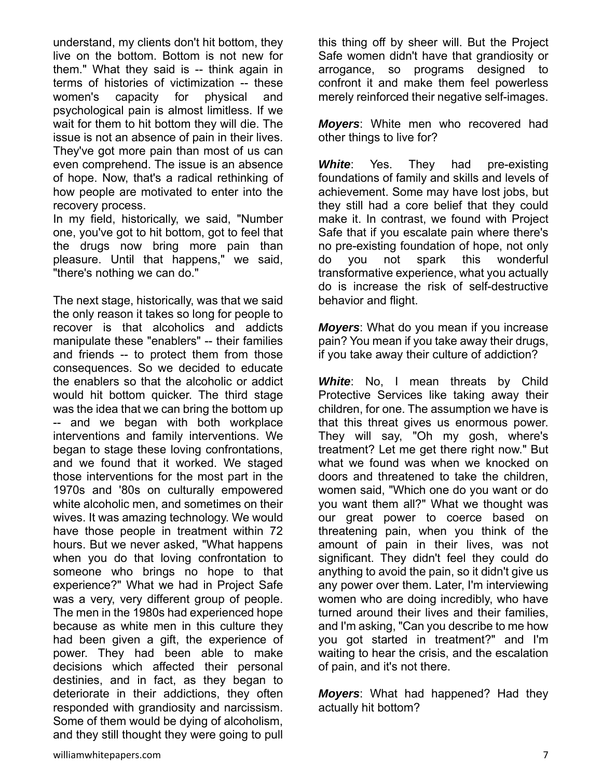understand, my clients don't hit bottom, they live on the bottom. Bottom is not new for them." What they said is -- think again in terms of histories of victimization -- these women's capacity for physical and psychological pain is almost limitless. If we wait for them to hit bottom they will die. The issue is not an absence of pain in their lives. They've got more pain than most of us can even comprehend. The issue is an absence of hope. Now, that's a radical rethinking of how people are motivated to enter into the recovery process.

In my field, historically, we said, "Number one, you've got to hit bottom, got to feel that the drugs now bring more pain than pleasure. Until that happens," we said, "there's nothing we can do."

The next stage, historically, was that we said the only reason it takes so long for people to recover is that alcoholics and addicts manipulate these "enablers" -- their families and friends -- to protect them from those consequences. So we decided to educate the enablers so that the alcoholic or addict would hit bottom quicker. The third stage was the idea that we can bring the bottom up -- and we began with both workplace interventions and family interventions. We began to stage these loving confrontations, and we found that it worked. We staged those interventions for the most part in the 1970s and '80s on culturally empowered white alcoholic men, and sometimes on their wives. It was amazing technology. We would have those people in treatment within 72 hours. But we never asked, "What happens when you do that loving confrontation to someone who brings no hope to that experience?" What we had in Project Safe was a very, very different group of people. The men in the 1980s had experienced hope because as white men in this culture they had been given a gift, the experience of power. They had been able to make decisions which affected their personal destinies, and in fact, as they began to deteriorate in their addictions, they often responded with grandiosity and narcissism. Some of them would be dying of alcoholism, and they still thought they were going to pull

this thing off by sheer will. But the Project Safe women didn't have that grandiosity or arrogance, so programs designed to confront it and make them feel powerless merely reinforced their negative self-images.

*Moyers*: White men who recovered had other things to live for?

**White**: Yes. They had pre-existing foundations of family and skills and levels of achievement. Some may have lost jobs, but they still had a core belief that they could make it. In contrast, we found with Project Safe that if you escalate pain where there's no pre-existing foundation of hope, not only do you not spark this wonderful transformative experience, what you actually do is increase the risk of self-destructive behavior and flight.

*Moyers*: What do you mean if you increase pain? You mean if you take away their drugs, if you take away their culture of addiction?

**White:** No, I mean threats by Child Protective Services like taking away their children, for one. The assumption we have is that this threat gives us enormous power. They will say, "Oh my gosh, where's treatment? Let me get there right now." But what we found was when we knocked on doors and threatened to take the children, women said, "Which one do you want or do you want them all?" What we thought was our great power to coerce based on threatening pain, when you think of the amount of pain in their lives, was not significant. They didn't feel they could do anything to avoid the pain, so it didn't give us any power over them. Later, I'm interviewing women who are doing incredibly, who have turned around their lives and their families, and I'm asking, "Can you describe to me how you got started in treatment?" and I'm waiting to hear the crisis, and the escalation of pain, and it's not there.

*Moyers*: What had happened? Had they actually hit bottom?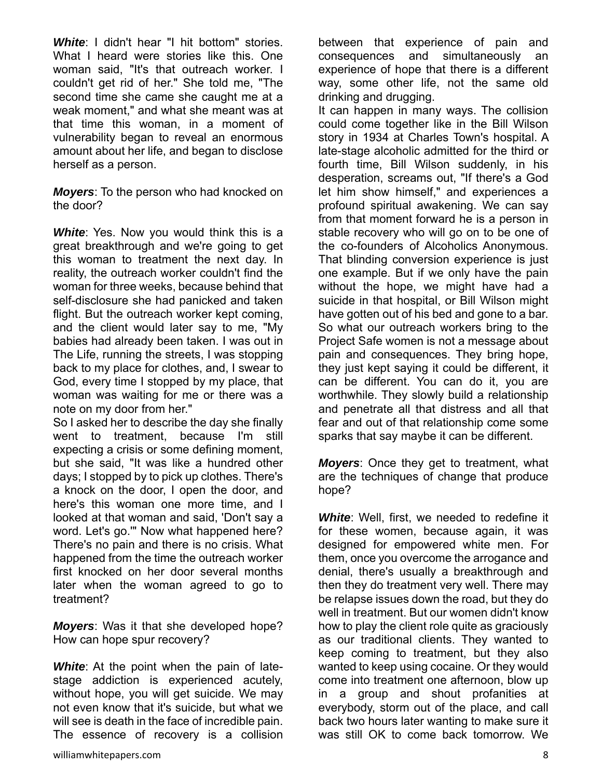*White*: I didn't hear "I hit bottom" stories. What I heard were stories like this. One woman said, "It's that outreach worker. I couldn't get rid of her." She told me, "The second time she came she caught me at a weak moment," and what she meant was at that time this woman, in a moment of vulnerability began to reveal an enormous amount about her life, and began to disclose herself as a person.

*Moyers*: To the person who had knocked on the door?

*White*: Yes. Now you would think this is a great breakthrough and we're going to get this woman to treatment the next day. In reality, the outreach worker couldn't find the woman for three weeks, because behind that self-disclosure she had panicked and taken flight. But the outreach worker kept coming, and the client would later say to me, "My babies had already been taken. I was out in The Life, running the streets, I was stopping back to my place for clothes, and, I swear to God, every time I stopped by my place, that woman was waiting for me or there was a note on my door from her."

So I asked her to describe the day she finally went to treatment, because I'm still expecting a crisis or some defining moment, but she said, "It was like a hundred other days; I stopped by to pick up clothes. There's a knock on the door, I open the door, and here's this woman one more time, and I looked at that woman and said, 'Don't say a word. Let's go.'" Now what happened here? There's no pain and there is no crisis. What happened from the time the outreach worker first knocked on her door several months later when the woman agreed to go to treatment?

*Moyers*: Was it that she developed hope? How can hope spur recovery?

*White*: At the point when the pain of latestage addiction is experienced acutely, without hope, you will get suicide. We may not even know that it's suicide, but what we will see is death in the face of incredible pain. The essence of recovery is a collision

between that experience of pain and consequences and simultaneously an experience of hope that there is a different way, some other life, not the same old drinking and drugging.

It can happen in many ways. The collision could come together like in the Bill Wilson story in 1934 at Charles Town's hospital. A late-stage alcoholic admitted for the third or fourth time, Bill Wilson suddenly, in his desperation, screams out, "If there's a God let him show himself," and experiences a profound spiritual awakening. We can say from that moment forward he is a person in stable recovery who will go on to be one of the co-founders of Alcoholics Anonymous. That blinding conversion experience is just one example. But if we only have the pain without the hope, we might have had a suicide in that hospital, or Bill Wilson might have gotten out of his bed and gone to a bar. So what our outreach workers bring to the Project Safe women is not a message about pain and consequences. They bring hope, they just kept saying it could be different, it can be different. You can do it, you are worthwhile. They slowly build a relationship and penetrate all that distress and all that fear and out of that relationship come some sparks that say maybe it can be different.

*Moyers*: Once they get to treatment, what are the techniques of change that produce hope?

*White*: Well, first, we needed to redefine it for these women, because again, it was designed for empowered white men. For them, once you overcome the arrogance and denial, there's usually a breakthrough and then they do treatment very well. There may be relapse issues down the road, but they do well in treatment. But our women didn't know how to play the client role quite as graciously as our traditional clients. They wanted to keep coming to treatment, but they also wanted to keep using cocaine. Or they would come into treatment one afternoon, blow up in a group and shout profanities at everybody, storm out of the place, and call back two hours later wanting to make sure it was still OK to come back tomorrow. We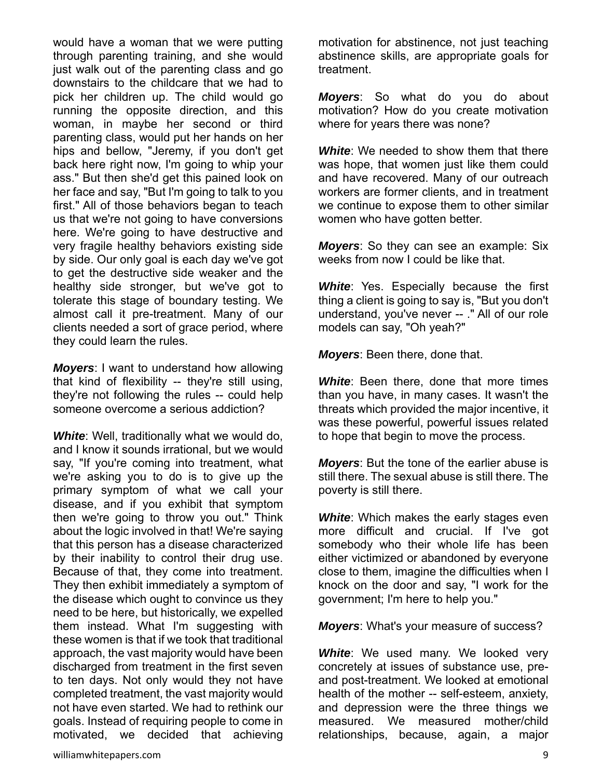would have a woman that we were putting through parenting training, and she would just walk out of the parenting class and go downstairs to the childcare that we had to pick her children up. The child would go running the opposite direction, and this woman, in maybe her second or third parenting class, would put her hands on her hips and bellow, "Jeremy, if you don't get back here right now, I'm going to whip your ass." But then she'd get this pained look on her face and say, "But I'm going to talk to you first." All of those behaviors began to teach us that we're not going to have conversions here. We're going to have destructive and very fragile healthy behaviors existing side by side. Our only goal is each day we've got to get the destructive side weaker and the healthy side stronger, but we've got to tolerate this stage of boundary testing. We almost call it pre-treatment. Many of our clients needed a sort of grace period, where they could learn the rules.

*Moyers*: I want to understand how allowing that kind of flexibility -- they're still using, they're not following the rules -- could help someone overcome a serious addiction?

*White*: Well, traditionally what we would do, and I know it sounds irrational, but we would say, "If you're coming into treatment, what we're asking you to do is to give up the primary symptom of what we call your disease, and if you exhibit that symptom then we're going to throw you out." Think about the logic involved in that! We're saying that this person has a disease characterized by their inability to control their drug use. Because of that, they come into treatment. They then exhibit immediately a symptom of the disease which ought to convince us they need to be here, but historically, we expelled them instead. What I'm suggesting with these women is that if we took that traditional approach, the vast majority would have been discharged from treatment in the first seven to ten days. Not only would they not have completed treatment, the vast majority would not have even started. We had to rethink our goals. Instead of requiring people to come in motivated, we decided that achieving

motivation for abstinence, not just teaching abstinence skills, are appropriate goals for treatment.

*Moyers*: So what do you do about motivation? How do you create motivation where for years there was none?

*White*: We needed to show them that there was hope, that women just like them could and have recovered. Many of our outreach workers are former clients, and in treatment we continue to expose them to other similar women who have gotten better.

*Moyers*: So they can see an example: Six weeks from now I could be like that.

*White*: Yes. Especially because the first thing a client is going to say is, "But you don't understand, you've never -- ." All of our role models can say, "Oh yeah?"

*Moyers*: Been there, done that.

*White*: Been there, done that more times than you have, in many cases. It wasn't the threats which provided the major incentive, it was these powerful, powerful issues related to hope that begin to move the process.

*Moyers*: But the tone of the earlier abuse is still there. The sexual abuse is still there. The poverty is still there.

**White:** Which makes the early stages even more difficult and crucial. If I've got somebody who their whole life has been either victimized or abandoned by everyone close to them, imagine the difficulties when I knock on the door and say, "I work for the government; I'm here to help you."

*Moyers*: What's your measure of success?

**White:** We used many. We looked very concretely at issues of substance use, preand post-treatment. We looked at emotional health of the mother -- self-esteem, anxiety, and depression were the three things we measured. We measured mother/child relationships, because, again, a major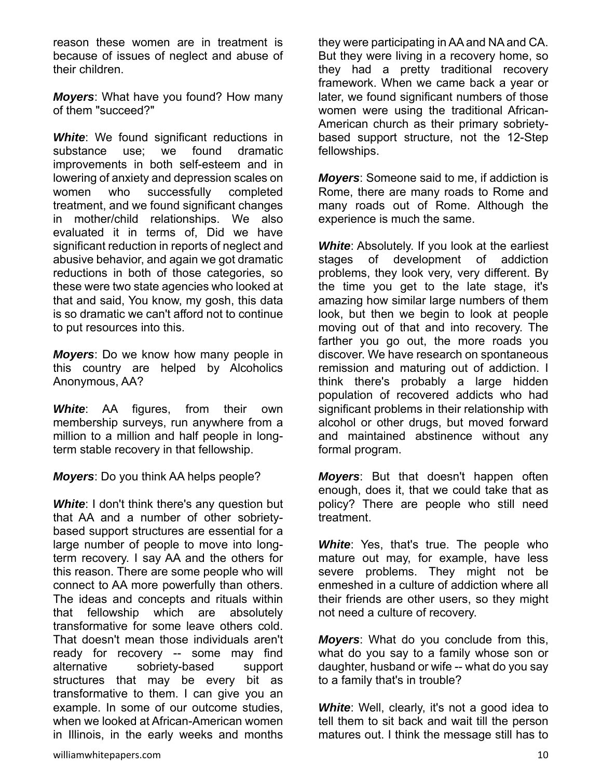reason these women are in treatment is because of issues of neglect and abuse of their children.

*Moyers*: What have you found? How many of them "succeed?"

**White:** We found significant reductions in substance use; we found dramatic improvements in both self-esteem and in lowering of anxiety and depression scales on women who successfully completed treatment, and we found significant changes in mother/child relationships. We also evaluated it in terms of, Did we have significant reduction in reports of neglect and abusive behavior, and again we got dramatic reductions in both of those categories, so these were two state agencies who looked at that and said, You know, my gosh, this data is so dramatic we can't afford not to continue to put resources into this.

*Moyers*: Do we know how many people in this country are helped by Alcoholics Anonymous, AA?

*White***:** AA figures, from their own membership surveys, run anywhere from a million to a million and half people in longterm stable recovery in that fellowship.

*Moyers*: Do you think AA helps people?

*White*: I don't think there's any question but that AA and a number of other sobrietybased support structures are essential for a large number of people to move into longterm recovery. I say AA and the others for this reason. There are some people who will connect to AA more powerfully than others. The ideas and concepts and rituals within that fellowship which are absolutely transformative for some leave others cold. That doesn't mean those individuals aren't ready for recovery -- some may find alternative sobriety-based support structures that may be every bit as transformative to them. I can give you an example. In some of our outcome studies, when we looked at African-American women in Illinois, in the early weeks and months

they were participating in AA and NA and CA. But they were living in a recovery home, so they had a pretty traditional recovery framework. When we came back a year or later, we found significant numbers of those women were using the traditional African-American church as their primary sobrietybased support structure, not the 12-Step fellowships.

*Moyers*: Someone said to me, if addiction is Rome, there are many roads to Rome and many roads out of Rome. Although the experience is much the same.

*White*: Absolutely. If you look at the earliest stages of development of addiction problems, they look very, very different. By the time you get to the late stage, it's amazing how similar large numbers of them look, but then we begin to look at people moving out of that and into recovery. The farther you go out, the more roads you discover. We have research on spontaneous remission and maturing out of addiction. I think there's probably a large hidden population of recovered addicts who had significant problems in their relationship with alcohol or other drugs, but moved forward and maintained abstinence without any formal program.

*Moyers*: But that doesn't happen often enough, does it, that we could take that as policy? There are people who still need treatment.

*White*: Yes, that's true. The people who mature out may, for example, have less severe problems. They might not be enmeshed in a culture of addiction where all their friends are other users, so they might not need a culture of recovery.

*Moyers*: What do you conclude from this, what do you say to a family whose son or daughter, husband or wife -- what do you say to a family that's in trouble?

*White*: Well, clearly, it's not a good idea to tell them to sit back and wait till the person matures out. I think the message still has to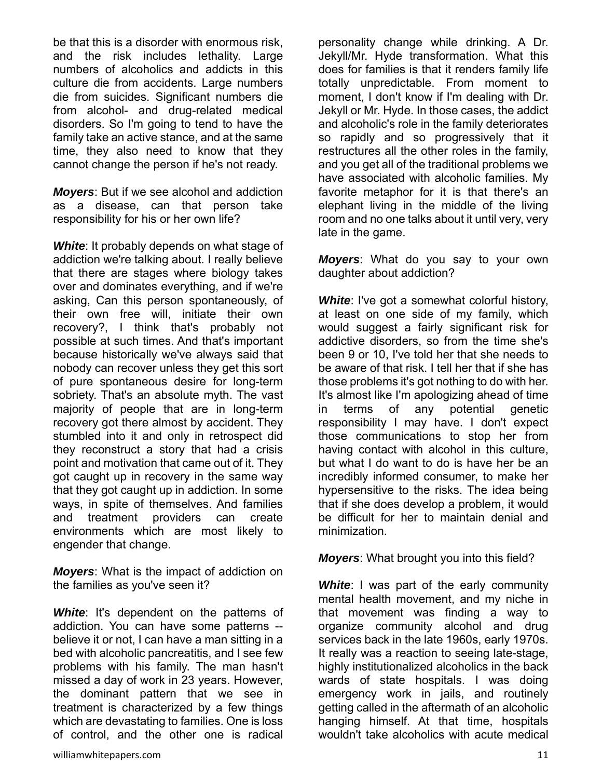be that this is a disorder with enormous risk, and the risk includes lethality. Large numbers of alcoholics and addicts in this culture die from accidents. Large numbers die from suicides. Significant numbers die from alcohol- and drug-related medical disorders. So I'm going to tend to have the family take an active stance, and at the same time, they also need to know that they cannot change the person if he's not ready.

*Moyers*: But if we see alcohol and addiction as a disease, can that person take responsibility for his or her own life?

*White*: It probably depends on what stage of addiction we're talking about. I really believe that there are stages where biology takes over and dominates everything, and if we're asking, Can this person spontaneously, of their own free will, initiate their own recovery?, I think that's probably not possible at such times. And that's important because historically we've always said that nobody can recover unless they get this sort of pure spontaneous desire for long-term sobriety. That's an absolute myth. The vast majority of people that are in long-term recovery got there almost by accident. They stumbled into it and only in retrospect did they reconstruct a story that had a crisis point and motivation that came out of it. They got caught up in recovery in the same way that they got caught up in addiction. In some ways, in spite of themselves. And families and treatment providers can create environments which are most likely to engender that change.

*Moyers*: What is the impact of addiction on the families as you've seen it?

**White**: It's dependent on the patterns of addiction. You can have some patterns - believe it or not, I can have a man sitting in a bed with alcoholic pancreatitis, and I see few problems with his family. The man hasn't missed a day of work in 23 years. However, the dominant pattern that we see in treatment is characterized by a few things which are devastating to families. One is loss of control, and the other one is radical

personality change while drinking. A Dr. Jekyll/Mr. Hyde transformation. What this does for families is that it renders family life totally unpredictable. From moment to moment, I don't know if I'm dealing with Dr. Jekyll or Mr. Hyde. In those cases, the addict and alcoholic's role in the family deteriorates so rapidly and so progressively that it restructures all the other roles in the family, and you get all of the traditional problems we have associated with alcoholic families. My favorite metaphor for it is that there's an elephant living in the middle of the living room and no one talks about it until very, very late in the game.

*Moyers*: What do you say to your own daughter about addiction?

*White*: I've got a somewhat colorful history, at least on one side of my family, which would suggest a fairly significant risk for addictive disorders, so from the time she's been 9 or 10, I've told her that she needs to be aware of that risk. I tell her that if she has those problems it's got nothing to do with her. It's almost like I'm apologizing ahead of time in terms of any potential genetic responsibility I may have. I don't expect those communications to stop her from having contact with alcohol in this culture, but what I do want to do is have her be an incredibly informed consumer, to make her hypersensitive to the risks. The idea being that if she does develop a problem, it would be difficult for her to maintain denial and minimization.

*Moyers*: What brought you into this field?

**White:** I was part of the early community mental health movement, and my niche in that movement was finding a way to organize community alcohol and drug services back in the late 1960s, early 1970s. It really was a reaction to seeing late-stage, highly institutionalized alcoholics in the back wards of state hospitals. I was doing emergency work in jails, and routinely getting called in the aftermath of an alcoholic hanging himself. At that time, hospitals wouldn't take alcoholics with acute medical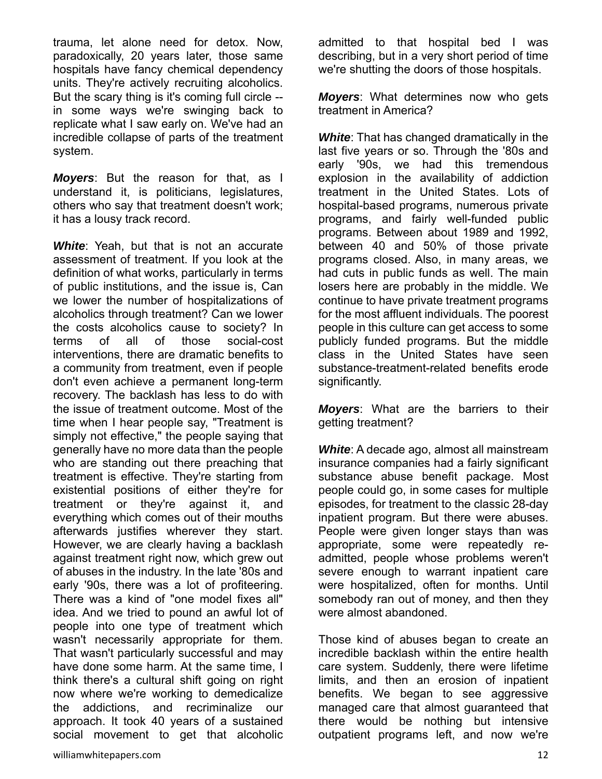trauma, let alone need for detox. Now, paradoxically, 20 years later, those same hospitals have fancy chemical dependency units. They're actively recruiting alcoholics. But the scary thing is it's coming full circle - in some ways we're swinging back to replicate what I saw early on. We've had an incredible collapse of parts of the treatment system.

*Moyers*: But the reason for that, as I understand it, is politicians, legislatures, others who say that treatment doesn't work; it has a lousy track record.

*White*: Yeah, but that is not an accurate assessment of treatment. If you look at the definition of what works, particularly in terms of public institutions, and the issue is, Can we lower the number of hospitalizations of alcoholics through treatment? Can we lower the costs alcoholics cause to society? In terms of all of those social-cost interventions, there are dramatic benefits to a community from treatment, even if people don't even achieve a permanent long-term recovery. The backlash has less to do with the issue of treatment outcome. Most of the time when I hear people say, "Treatment is simply not effective," the people saying that generally have no more data than the people who are standing out there preaching that treatment is effective. They're starting from existential positions of either they're for treatment or they're against it, and everything which comes out of their mouths afterwards justifies wherever they start. However, we are clearly having a backlash against treatment right now, which grew out of abuses in the industry. In the late '80s and early '90s, there was a lot of profiteering. There was a kind of "one model fixes all" idea. And we tried to pound an awful lot of people into one type of treatment which wasn't necessarily appropriate for them. That wasn't particularly successful and may have done some harm. At the same time, I think there's a cultural shift going on right now where we're working to demedicalize the addictions, and recriminalize our approach. It took 40 years of a sustained social movement to get that alcoholic

admitted to that hospital bed I was describing, but in a very short period of time we're shutting the doors of those hospitals.

*Moyers*: What determines now who gets treatment in America?

*White*: That has changed dramatically in the last five years or so. Through the '80s and early '90s, we had this tremendous explosion in the availability of addiction treatment in the United States. Lots of hospital-based programs, numerous private programs, and fairly well-funded public programs. Between about 1989 and 1992, between 40 and 50% of those private programs closed. Also, in many areas, we had cuts in public funds as well. The main losers here are probably in the middle. We continue to have private treatment programs for the most affluent individuals. The poorest people in this culture can get access to some publicly funded programs. But the middle class in the United States have seen substance-treatment-related benefits erode significantly.

*Moyers*: What are the barriers to their getting treatment?

*White*: A decade ago, almost all mainstream insurance companies had a fairly significant substance abuse benefit package. Most people could go, in some cases for multiple episodes, for treatment to the classic 28-day inpatient program. But there were abuses. People were given longer stays than was appropriate, some were repeatedly readmitted, people whose problems weren't severe enough to warrant inpatient care were hospitalized, often for months. Until somebody ran out of money, and then they were almost abandoned.

Those kind of abuses began to create an incredible backlash within the entire health care system. Suddenly, there were lifetime limits, and then an erosion of inpatient benefits. We began to see aggressive managed care that almost guaranteed that there would be nothing but intensive outpatient programs left, and now we're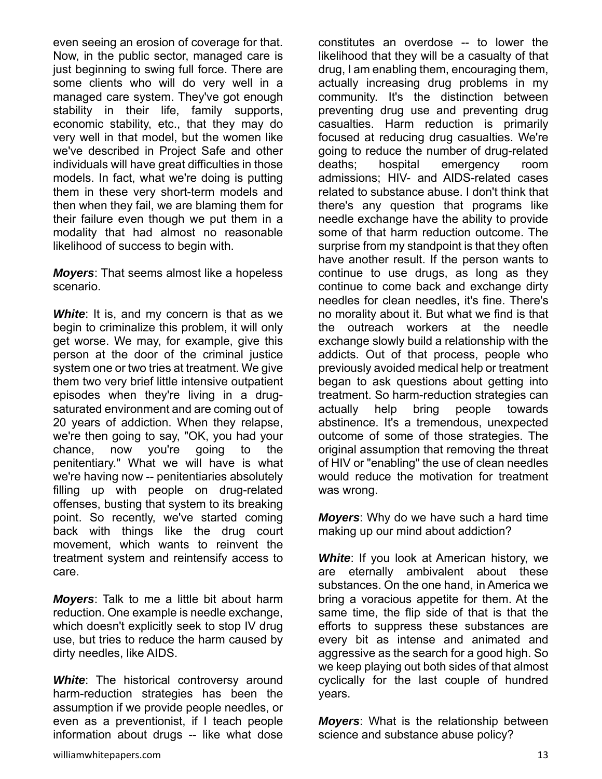even seeing an erosion of coverage for that. Now, in the public sector, managed care is just beginning to swing full force. There are some clients who will do very well in a managed care system. They've got enough stability in their life, family supports, economic stability, etc., that they may do very well in that model, but the women like we've described in Project Safe and other individuals will have great difficulties in those models. In fact, what we're doing is putting them in these very short-term models and then when they fail, we are blaming them for their failure even though we put them in a modality that had almost no reasonable likelihood of success to begin with.

*Moyers*: That seems almost like a hopeless scenario.

**White**: It is, and my concern is that as we begin to criminalize this problem, it will only get worse. We may, for example, give this person at the door of the criminal justice system one or two tries at treatment. We give them two very brief little intensive outpatient episodes when they're living in a drugsaturated environment and are coming out of 20 years of addiction. When they relapse, we're then going to say, "OK, you had your chance, now you're going to the penitentiary." What we will have is what we're having now -- penitentiaries absolutely filling up with people on drug-related offenses, busting that system to its breaking point. So recently, we've started coming back with things like the drug court movement, which wants to reinvent the treatment system and reintensify access to care.

*Moyers*: Talk to me a little bit about harm reduction. One example is needle exchange, which doesn't explicitly seek to stop IV drug use, but tries to reduce the harm caused by dirty needles, like AIDS.

**White:** The historical controversy around harm-reduction strategies has been the assumption if we provide people needles, or even as a preventionist, if I teach people information about drugs -- like what dose

constitutes an overdose -- to lower the likelihood that they will be a casualty of that drug, I am enabling them, encouraging them, actually increasing drug problems in my community. It's the distinction between preventing drug use and preventing drug casualties. Harm reduction is primarily focused at reducing drug casualties. We're going to reduce the number of drug-related deaths; hospital emergency room admissions; HIV- and AIDS-related cases related to substance abuse. I don't think that there's any question that programs like needle exchange have the ability to provide some of that harm reduction outcome. The surprise from my standpoint is that they often have another result. If the person wants to continue to use drugs, as long as they continue to come back and exchange dirty needles for clean needles, it's fine. There's no morality about it. But what we find is that the outreach workers at the needle exchange slowly build a relationship with the addicts. Out of that process, people who previously avoided medical help or treatment began to ask questions about getting into treatment. So harm-reduction strategies can actually help bring people towards abstinence. It's a tremendous, unexpected outcome of some of those strategies. The original assumption that removing the threat of HIV or "enabling" the use of clean needles would reduce the motivation for treatment was wrong.

*Moyers*: Why do we have such a hard time making up our mind about addiction?

*White*: If you look at American history, we are eternally ambivalent about these substances. On the one hand, in America we bring a voracious appetite for them. At the same time, the flip side of that is that the efforts to suppress these substances are every bit as intense and animated and aggressive as the search for a good high. So we keep playing out both sides of that almost cyclically for the last couple of hundred years.

*Moyers*: What is the relationship between science and substance abuse policy?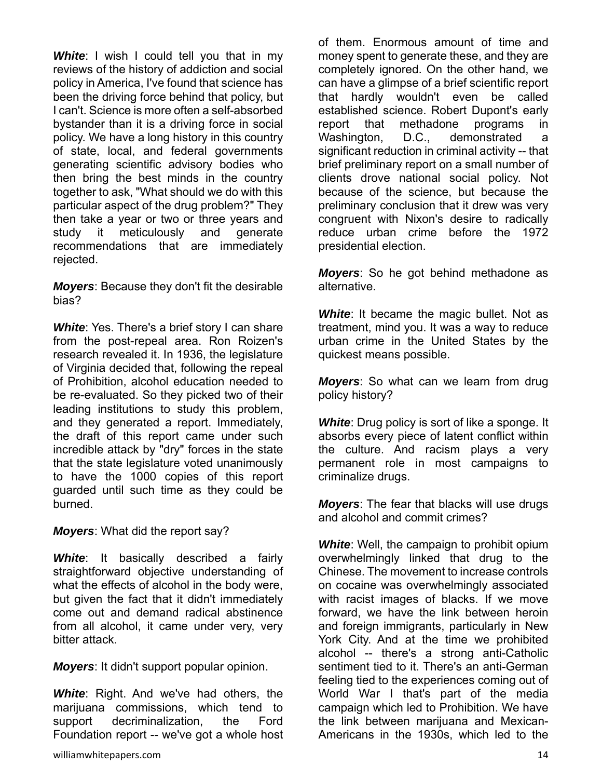**White:** I wish I could tell you that in my reviews of the history of addiction and social policy in America, I've found that science has been the driving force behind that policy, but I can't. Science is more often a self-absorbed bystander than it is a driving force in social policy. We have a long history in this country of state, local, and federal governments generating scientific advisory bodies who then bring the best minds in the country together to ask, "What should we do with this particular aspect of the drug problem?" They then take a year or two or three years and study it meticulously and generate recommendations that are immediately rejected.

*Moyers*: Because they don't fit the desirable bias?

**White:** Yes. There's a brief story I can share from the post-repeal area. Ron Roizen's research revealed it. In 1936, the legislature of Virginia decided that, following the repeal of Prohibition, alcohol education needed to be re-evaluated. So they picked two of their leading institutions to study this problem, and they generated a report. Immediately, the draft of this report came under such incredible attack by "dry" forces in the state that the state legislature voted unanimously to have the 1000 copies of this report guarded until such time as they could be burned.

*Moyers*: What did the report say?

*White*: It basically described a fairly straightforward objective understanding of what the effects of alcohol in the body were, but given the fact that it didn't immediately come out and demand radical abstinence from all alcohol, it came under very, very bitter attack.

*Moyers*: It didn't support popular opinion.

*White*: Right. And we've had others, the marijuana commissions, which tend to support decriminalization, the Ford Foundation report -- we've got a whole host of them. Enormous amount of time and money spent to generate these, and they are completely ignored. On the other hand, we can have a glimpse of a brief scientific report that hardly wouldn't even be called established science. Robert Dupont's early report that methadone programs in Washington, D.C., demonstrated a significant reduction in criminal activity -- that brief preliminary report on a small number of clients drove national social policy. Not because of the science, but because the preliminary conclusion that it drew was very congruent with Nixon's desire to radically reduce urban crime before the 1972 presidential election.

*Moyers*: So he got behind methadone as alternative.

**White:** It became the magic bullet. Not as treatment, mind you. It was a way to reduce urban crime in the United States by the quickest means possible.

*Moyers*: So what can we learn from drug policy history?

**White:** Drug policy is sort of like a sponge. It absorbs every piece of latent conflict within the culture. And racism plays a very permanent role in most campaigns to criminalize drugs.

*Moyers*: The fear that blacks will use drugs and alcohol and commit crimes?

*White*: Well, the campaign to prohibit opium overwhelmingly linked that drug to the Chinese. The movement to increase controls on cocaine was overwhelmingly associated with racist images of blacks. If we move forward, we have the link between heroin and foreign immigrants, particularly in New York City. And at the time we prohibited alcohol -- there's a strong anti-Catholic sentiment tied to it. There's an anti-German feeling tied to the experiences coming out of World War I that's part of the media campaign which led to Prohibition. We have the link between marijuana and Mexican-Americans in the 1930s, which led to the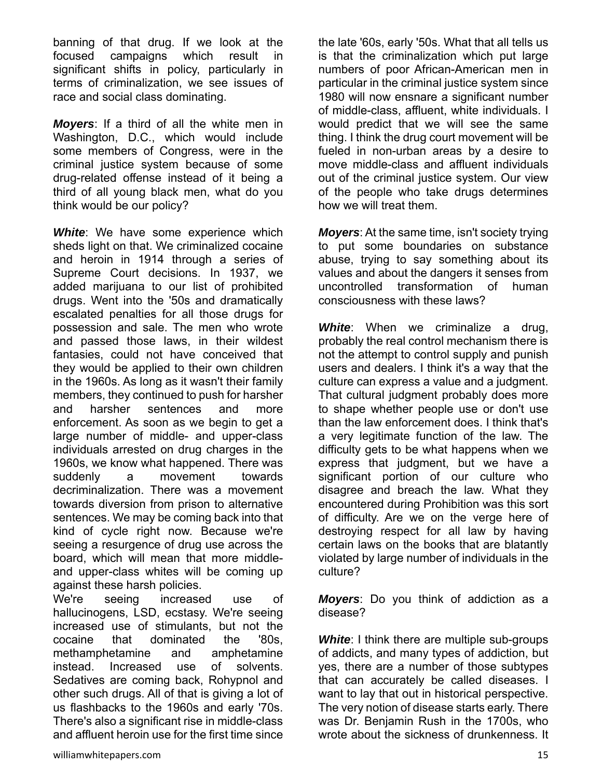banning of that drug. If we look at the focused campaigns which result in significant shifts in policy, particularly in terms of criminalization, we see issues of race and social class dominating.

*Moyers*: If a third of all the white men in Washington, D.C., which would include some members of Congress, were in the criminal justice system because of some drug-related offense instead of it being a third of all young black men, what do you think would be our policy?

**White:** We have some experience which sheds light on that. We criminalized cocaine and heroin in 1914 through a series of Supreme Court decisions. In 1937, we added marijuana to our list of prohibited drugs. Went into the '50s and dramatically escalated penalties for all those drugs for possession and sale. The men who wrote and passed those laws, in their wildest fantasies, could not have conceived that they would be applied to their own children in the 1960s. As long as it wasn't their family members, they continued to push for harsher and harsher sentences and more enforcement. As soon as we begin to get a large number of middle- and upper-class individuals arrested on drug charges in the 1960s, we know what happened. There was suddenly a movement towards decriminalization. There was a movement towards diversion from prison to alternative sentences. We may be coming back into that kind of cycle right now. Because we're seeing a resurgence of drug use across the board, which will mean that more middleand upper-class whites will be coming up against these harsh policies.

We're seeing increased use of hallucinogens, LSD, ecstasy. We're seeing increased use of stimulants, but not the cocaine that dominated the '80s, methamphetamine and amphetamine instead. Increased use of solvents. Sedatives are coming back, Rohypnol and other such drugs. All of that is giving a lot of us flashbacks to the 1960s and early '70s. There's also a significant rise in middle-class and affluent heroin use for the first time since

the late '60s, early '50s. What that all tells us is that the criminalization which put large numbers of poor African-American men in particular in the criminal justice system since 1980 will now ensnare a significant number of middle-class, affluent, white individuals. I would predict that we will see the same thing. I think the drug court movement will be fueled in non-urban areas by a desire to move middle-class and affluent individuals out of the criminal justice system. Our view of the people who take drugs determines how we will treat them.

*Moyers*: At the same time, isn't society trying to put some boundaries on substance abuse, trying to say something about its values and about the dangers it senses from uncontrolled transformation of human consciousness with these laws?

**White**: When we criminalize a drug, probably the real control mechanism there is not the attempt to control supply and punish users and dealers. I think it's a way that the culture can express a value and a judgment. That cultural judgment probably does more to shape whether people use or don't use than the law enforcement does. I think that's a very legitimate function of the law. The difficulty gets to be what happens when we express that judgment, but we have a significant portion of our culture who disagree and breach the law. What they encountered during Prohibition was this sort of difficulty. Are we on the verge here of destroying respect for all law by having certain laws on the books that are blatantly violated by large number of individuals in the culture?

*Moyers*: Do you think of addiction as a disease?

**White:** I think there are multiple sub-groups of addicts, and many types of addiction, but yes, there are a number of those subtypes that can accurately be called diseases. I want to lay that out in historical perspective. The very notion of disease starts early. There was Dr. Benjamin Rush in the 1700s, who wrote about the sickness of drunkenness. It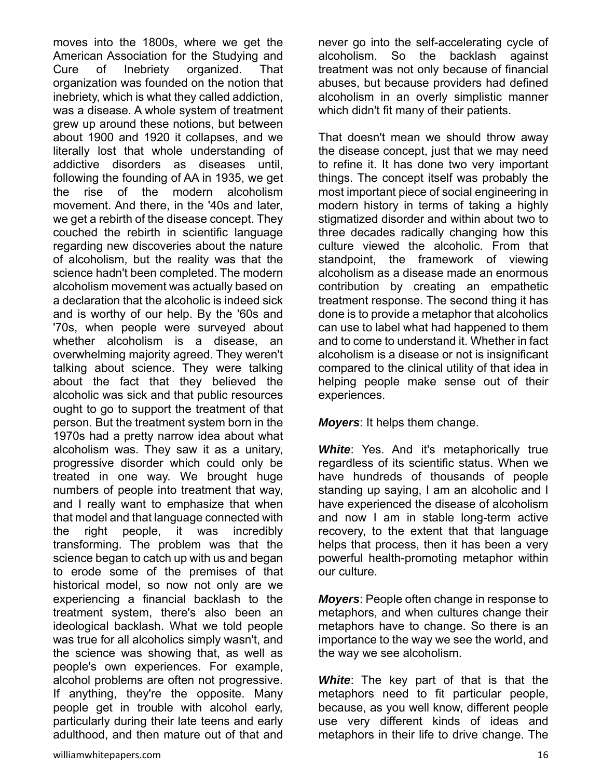moves into the 1800s, where we get the American Association for the Studying and Cure of Inebriety organized. That organization was founded on the notion that inebriety, which is what they called addiction, was a disease. A whole system of treatment grew up around these notions, but between about 1900 and 1920 it collapses, and we literally lost that whole understanding of addictive disorders as diseases until, following the founding of AA in 1935, we get the rise of the modern alcoholism movement. And there, in the '40s and later, we get a rebirth of the disease concept. They couched the rebirth in scientific language regarding new discoveries about the nature of alcoholism, but the reality was that the science hadn't been completed. The modern alcoholism movement was actually based on a declaration that the alcoholic is indeed sick and is worthy of our help. By the '60s and '70s, when people were surveyed about whether alcoholism is a disease, an overwhelming majority agreed. They weren't talking about science. They were talking about the fact that they believed the alcoholic was sick and that public resources ought to go to support the treatment of that person. But the treatment system born in the 1970s had a pretty narrow idea about what alcoholism was. They saw it as a unitary, progressive disorder which could only be treated in one way. We brought huge numbers of people into treatment that way, and I really want to emphasize that when that model and that language connected with the right people, it was incredibly transforming. The problem was that the science began to catch up with us and began to erode some of the premises of that historical model, so now not only are we experiencing a financial backlash to the treatment system, there's also been an ideological backlash. What we told people was true for all alcoholics simply wasn't, and the science was showing that, as well as people's own experiences. For example, alcohol problems are often not progressive. If anything, they're the opposite. Many people get in trouble with alcohol early, particularly during their late teens and early adulthood, and then mature out of that and never go into the self-accelerating cycle of alcoholism. So the backlash against treatment was not only because of financial abuses, but because providers had defined alcoholism in an overly simplistic manner which didn't fit many of their patients.

That doesn't mean we should throw away the disease concept, just that we may need to refine it. It has done two very important things. The concept itself was probably the most important piece of social engineering in modern history in terms of taking a highly stigmatized disorder and within about two to three decades radically changing how this culture viewed the alcoholic. From that standpoint, the framework of viewing alcoholism as a disease made an enormous contribution by creating an empathetic treatment response. The second thing it has done is to provide a metaphor that alcoholics can use to label what had happened to them and to come to understand it. Whether in fact alcoholism is a disease or not is insignificant compared to the clinical utility of that idea in helping people make sense out of their experiences.

*Moyers*: It helps them change.

**White:** Yes. And it's metaphorically true regardless of its scientific status. When we have hundreds of thousands of people standing up saying, I am an alcoholic and I have experienced the disease of alcoholism and now I am in stable long-term active recovery, to the extent that that language helps that process, then it has been a very powerful health-promoting metaphor within our culture.

*Moyers*: People often change in response to metaphors, and when cultures change their metaphors have to change. So there is an importance to the way we see the world, and the way we see alcoholism.

*White*: The key part of that is that the metaphors need to fit particular people, because, as you well know, different people use very different kinds of ideas and metaphors in their life to drive change. The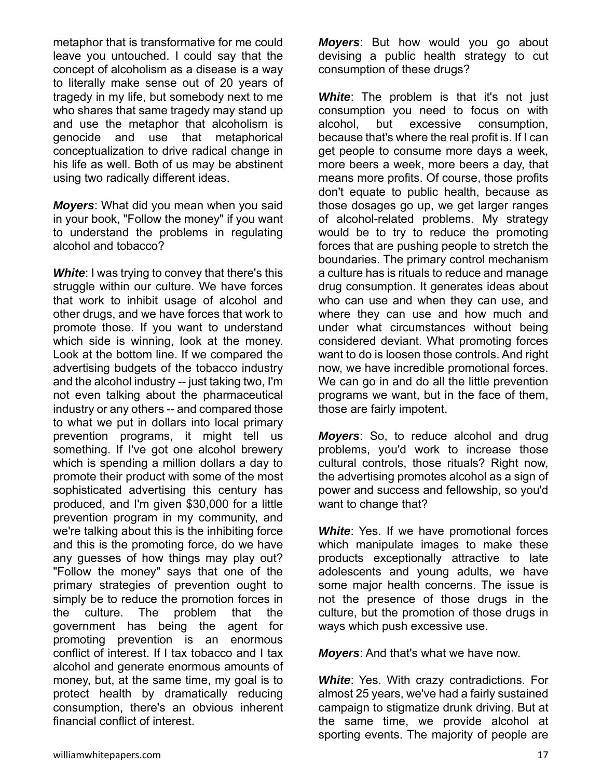metaphor that is transformative for me could leave you untouched. I could say that the concept of alcoholism as a disease is a way to literally make sense out of 20 years of tragedy in my life, but somebody next to me who shares that same tragedy may stand up and use the metaphor that alcoholism is genocide and use that metaphorical conceptualization to drive radical change in his life as well. Both of us may be abstinent using two radically different ideas.

*Moyers*: What did you mean when you said in your book, "Follow the money" if you want to understand the problems in regulating alcohol and tobacco?

**White:** I was trying to convey that there's this struggle within our culture. We have forces that work to inhibit usage of alcohol and other drugs, and we have forces that work to promote those. If you want to understand which side is winning, look at the money. Look at the bottom line. If we compared the advertising budgets of the tobacco industry and the alcohol industry -- just taking two, I'm not even talking about the pharmaceutical industry or any others -- and compared those to what we put in dollars into local primary prevention programs, it might tell us something. If I've got one alcohol brewery which is spending a million dollars a day to promote their product with some of the most sophisticated advertising this century has produced, and I'm given \$30,000 for a little prevention program in my community, and we're talking about this is the inhibiting force and this is the promoting force, do we have any guesses of how things may play out? "Follow the money" says that one of the primary strategies of prevention ought to simply be to reduce the promotion forces in the culture. The problem that the government has being the agent for promoting prevention is an enormous conflict of interest. If I tax tobacco and I tax alcohol and generate enormous amounts of money, but, at the same time, my goal is to protect health by dramatically reducing consumption, there's an obvious inherent financial conflict of interest.

*Moyers*: But how would you go about devising a public health strategy to cut consumption of these drugs?

**White:** The problem is that it's not just consumption you need to focus on with alcohol, but excessive consumption, because that's where the real profit is. If I can get people to consume more days a week, more beers a week, more beers a day, that means more profits. Of course, those profits don't equate to public health, because as those dosages go up, we get larger ranges of alcohol-related problems. My strategy would be to try to reduce the promoting forces that are pushing people to stretch the boundaries. The primary control mechanism a culture has is rituals to reduce and manage drug consumption. It generates ideas about who can use and when they can use, and where they can use and how much and under what circumstances without being considered deviant. What promoting forces want to do is loosen those controls. And right now, we have incredible promotional forces. We can go in and do all the little prevention programs we want, but in the face of them, those are fairly impotent.

*Moyers*: So, to reduce alcohol and drug problems, you'd work to increase those cultural controls, those rituals? Right now, the advertising promotes alcohol as a sign of power and success and fellowship, so you'd want to change that?

*White*: Yes. If we have promotional forces which manipulate images to make these products exceptionally attractive to late adolescents and young adults, we have some major health concerns. The issue is not the presence of those drugs in the culture, but the promotion of those drugs in ways which push excessive use.

*Moyers*: And that's what we have now.

*White*: Yes. With crazy contradictions. For almost 25 years, we've had a fairly sustained campaign to stigmatize drunk driving. But at the same time, we provide alcohol at sporting events. The majority of people are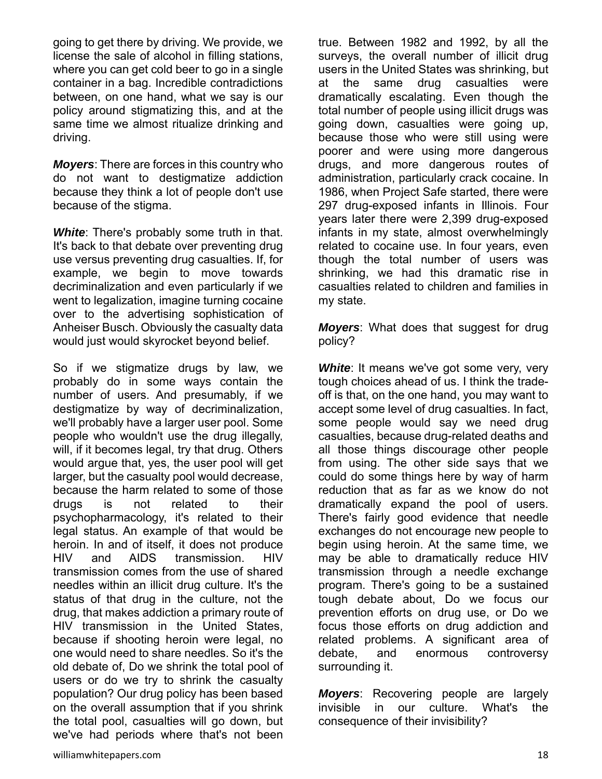going to get there by driving. We provide, we license the sale of alcohol in filling stations, where you can get cold beer to go in a single container in a bag. Incredible contradictions between, on one hand, what we say is our policy around stigmatizing this, and at the same time we almost ritualize drinking and driving.

*Moyers*: There are forces in this country who do not want to destigmatize addiction because they think a lot of people don't use because of the stigma.

*White*: There's probably some truth in that. It's back to that debate over preventing drug use versus preventing drug casualties. If, for example, we begin to move towards decriminalization and even particularly if we went to legalization, imagine turning cocaine over to the advertising sophistication of Anheiser Busch. Obviously the casualty data would just would skyrocket beyond belief.

So if we stigmatize drugs by law, we probably do in some ways contain the number of users. And presumably, if we destigmatize by way of decriminalization, we'll probably have a larger user pool. Some people who wouldn't use the drug illegally, will, if it becomes legal, try that drug. Others would argue that, yes, the user pool will get larger, but the casualty pool would decrease, because the harm related to some of those drugs is not related to their psychopharmacology, it's related to their legal status. An example of that would be heroin. In and of itself, it does not produce HIV and AIDS transmission. HIV transmission comes from the use of shared needles within an illicit drug culture. It's the status of that drug in the culture, not the drug, that makes addiction a primary route of HIV transmission in the United States, because if shooting heroin were legal, no one would need to share needles. So it's the old debate of, Do we shrink the total pool of users or do we try to shrink the casualty population? Our drug policy has been based on the overall assumption that if you shrink the total pool, casualties will go down, but we've had periods where that's not been

true. Between 1982 and 1992, by all the surveys, the overall number of illicit drug users in the United States was shrinking, but at the same drug casualties were dramatically escalating. Even though the total number of people using illicit drugs was going down, casualties were going up, because those who were still using were poorer and were using more dangerous drugs, and more dangerous routes of administration, particularly crack cocaine. In 1986, when Project Safe started, there were 297 drug-exposed infants in Illinois. Four years later there were 2,399 drug-exposed infants in my state, almost overwhelmingly related to cocaine use. In four years, even though the total number of users was shrinking, we had this dramatic rise in casualties related to children and families in my state.

*Moyers*: What does that suggest for drug policy?

**White:** It means we've got some very, very tough choices ahead of us. I think the tradeoff is that, on the one hand, you may want to accept some level of drug casualties. In fact, some people would say we need drug casualties, because drug-related deaths and all those things discourage other people from using. The other side says that we could do some things here by way of harm reduction that as far as we know do not dramatically expand the pool of users. There's fairly good evidence that needle exchanges do not encourage new people to begin using heroin. At the same time, we may be able to dramatically reduce HIV transmission through a needle exchange program. There's going to be a sustained tough debate about, Do we focus our prevention efforts on drug use, or Do we focus those efforts on drug addiction and related problems. A significant area of debate, and enormous controversy surrounding it.

*Moyers*: Recovering people are largely invisible in our culture. What's the consequence of their invisibility?